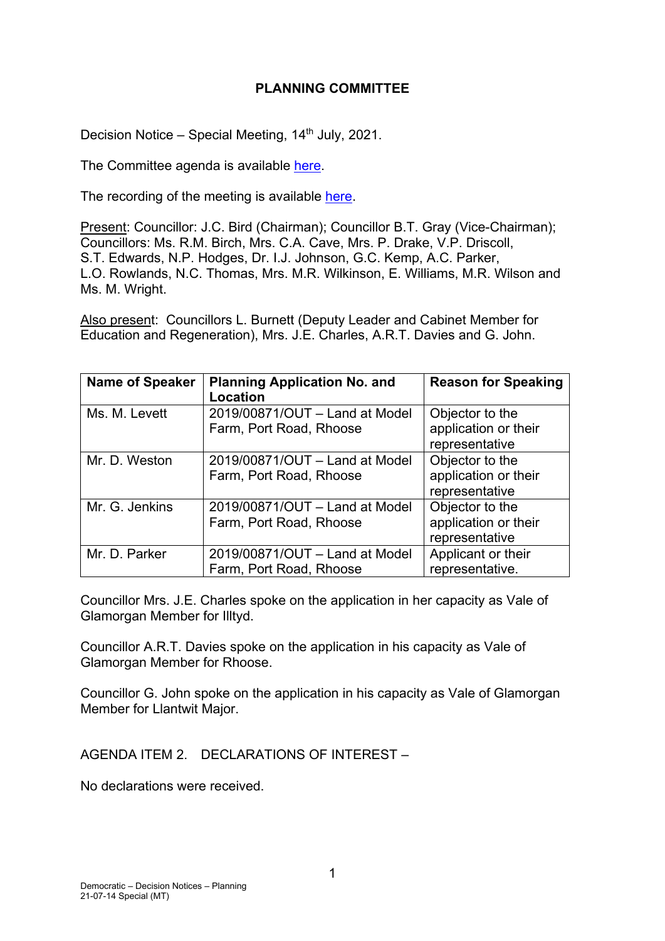## **PLANNING COMMITTEE**

Decision Notice – Special Meeting,  $14<sup>th</sup>$  July, 2021.

The Committee agenda is available [here.](https://www.valeofglamorgan.gov.uk/en/our_council/Council-Structure/minutes,_agendas_and_reports/agendas/planning/2021/21-07-14.aspx)

The recording of the meeting is available [here.](https://youtu.be/KTubhjxvHEc)

Present: Councillor: J.C. Bird (Chairman); Councillor B.T. Gray (Vice-Chairman); Councillors: Ms. R.M. Birch, Mrs. C.A. Cave, Mrs. P. Drake, V.P. Driscoll, S.T. Edwards, N.P. Hodges, Dr. I.J. Johnson, G.C. Kemp, A.C. Parker, L.O. Rowlands, N.C. Thomas, Mrs. M.R. Wilkinson, E. Williams, M.R. Wilson and Ms. M. Wright.

Also present: Councillors L. Burnett (Deputy Leader and Cabinet Member for Education and Regeneration), Mrs. J.E. Charles, A.R.T. Davies and G. John.

| <b>Name of Speaker</b> | <b>Planning Application No. and</b><br>Location           | <b>Reason for Speaking</b>                                |
|------------------------|-----------------------------------------------------------|-----------------------------------------------------------|
| Ms. M. Levett          | 2019/00871/OUT - Land at Model<br>Farm, Port Road, Rhoose | Objector to the<br>application or their<br>representative |
| Mr. D. Weston          | 2019/00871/OUT - Land at Model<br>Farm, Port Road, Rhoose | Objector to the<br>application or their<br>representative |
| Mr. G. Jenkins         | 2019/00871/OUT - Land at Model<br>Farm, Port Road, Rhoose | Objector to the<br>application or their<br>representative |
| Mr. D. Parker          | 2019/00871/OUT - Land at Model<br>Farm, Port Road, Rhoose | Applicant or their<br>representative.                     |

Councillor Mrs. J.E. Charles spoke on the application in her capacity as Vale of Glamorgan Member for Illtyd.

Councillor A.R.T. Davies spoke on the application in his capacity as Vale of Glamorgan Member for Rhoose.

Councillor G. John spoke on the application in his capacity as Vale of Glamorgan Member for Llantwit Major.

AGENDA ITEM 2. DECLARATIONS OF INTEREST –

No declarations were received.